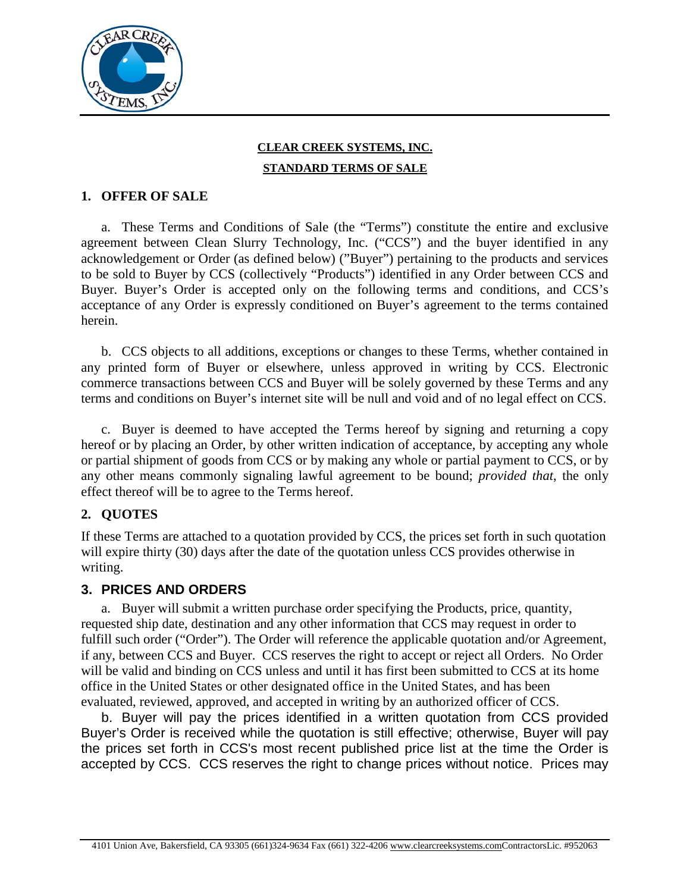

# **CLEAR CREEK SYSTEMS, INC. STANDARD TERMS OF SALE**

#### **1. OFFER OF SALE**

a. These Terms and Conditions of Sale (the "Terms") constitute the entire and exclusive agreement between Clean Slurry Technology, Inc. ("CCS") and the buyer identified in any acknowledgement or Order (as defined below) ("Buyer") pertaining to the products and services to be sold to Buyer by CCS (collectively "Products") identified in any Order between CCS and Buyer. Buyer's Order is accepted only on the following terms and conditions, and CCS's acceptance of any Order is expressly conditioned on Buyer's agreement to the terms contained herein.

b. CCS objects to all additions, exceptions or changes to these Terms, whether contained in any printed form of Buyer or elsewhere, unless approved in writing by CCS. Electronic commerce transactions between CCS and Buyer will be solely governed by these Terms and any terms and conditions on Buyer's internet site will be null and void and of no legal effect on CCS.

c. Buyer is deemed to have accepted the Terms hereof by signing and returning a copy hereof or by placing an Order, by other written indication of acceptance, by accepting any whole or partial shipment of goods from CCS or by making any whole or partial payment to CCS, or by any other means commonly signaling lawful agreement to be bound; *provided that*, the only effect thereof will be to agree to the Terms hereof.

# **2. QUOTES**

If these Terms are attached to a quotation provided by CCS, the prices set forth in such quotation will expire thirty (30) days after the date of the quotation unless CCS provides otherwise in writing.

#### **3. PRICES AND ORDERS**

a. Buyer will submit a written purchase order specifying the Products, price, quantity, requested ship date, destination and any other information that CCS may request in order to fulfill such order ("Order"). The Order will reference the applicable quotation and/or Agreement, if any, between CCS and Buyer. CCS reserves the right to accept or reject all Orders. No Order will be valid and binding on CCS unless and until it has first been submitted to CCS at its home office in the United States or other designated office in the United States, and has been evaluated, reviewed, approved, and accepted in writing by an authorized officer of CCS.

b. Buyer will pay the prices identified in a written quotation from CCS provided Buyer's Order is received while the quotation is still effective; otherwise, Buyer will pay the prices set forth in CCS's most recent published price list at the time the Order is accepted by CCS. CCS reserves the right to change prices without notice. Prices may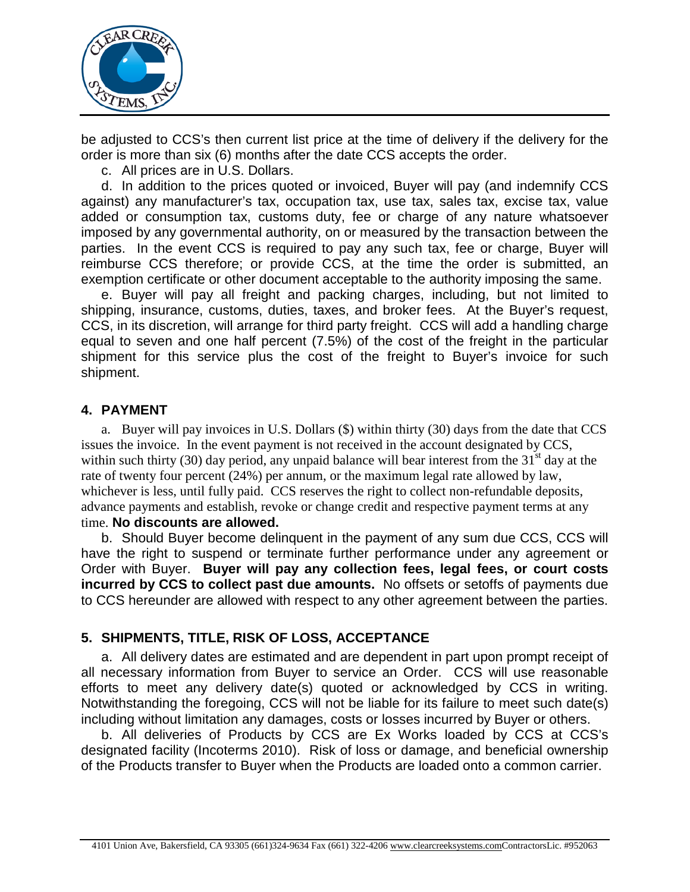

be adjusted to CCS's then current list price at the time of delivery if the delivery for the order is more than six (6) months after the date CCS accepts the order.

c. All prices are in U.S. Dollars.

d. In addition to the prices quoted or invoiced, Buyer will pay (and indemnify CCS against) any manufacturer's tax, occupation tax, use tax, sales tax, excise tax, value added or consumption tax, customs duty, fee or charge of any nature whatsoever imposed by any governmental authority, on or measured by the transaction between the parties. In the event CCS is required to pay any such tax, fee or charge, Buyer will reimburse CCS therefore; or provide CCS, at the time the order is submitted, an exemption certificate or other document acceptable to the authority imposing the same.

e. Buyer will pay all freight and packing charges, including, but not limited to shipping, insurance, customs, duties, taxes, and broker fees. At the Buyer's request, CCS, in its discretion, will arrange for third party freight. CCS will add a handling charge equal to seven and one half percent (7.5%) of the cost of the freight in the particular shipment for this service plus the cost of the freight to Buyer's invoice for such shipment.

### **4. PAYMENT**

a. Buyer will pay invoices in U.S. Dollars (\$) within thirty (30) days from the date that CCS issues the invoice. In the event payment is not received in the account designated by CCS, within such thirty (30) day period, any unpaid balance will bear interest from the  $31<sup>st</sup>$  day at the rate of twenty four percent (24%) per annum, or the maximum legal rate allowed by law, whichever is less, until fully paid. CCS reserves the right to collect non-refundable deposits, advance payments and establish, revoke or change credit and respective payment terms at any time. **No discounts are allowed.** 

b. Should Buyer become delinquent in the payment of any sum due CCS, CCS will have the right to suspend or terminate further performance under any agreement or Order with Buyer. **Buyer will pay any collection fees, legal fees, or court costs incurred by CCS to collect past due amounts.** No offsets or setoffs of payments due to CCS hereunder are allowed with respect to any other agreement between the parties.

# **5. SHIPMENTS, TITLE, RISK OF LOSS, ACCEPTANCE**

a. All delivery dates are estimated and are dependent in part upon prompt receipt of all necessary information from Buyer to service an Order. CCS will use reasonable efforts to meet any delivery date(s) quoted or acknowledged by CCS in writing. Notwithstanding the foregoing, CCS will not be liable for its failure to meet such date(s) including without limitation any damages, costs or losses incurred by Buyer or others.

b. All deliveries of Products by CCS are Ex Works loaded by CCS at CCS's designated facility (Incoterms 2010). Risk of loss or damage, and beneficial ownership of the Products transfer to Buyer when the Products are loaded onto a common carrier.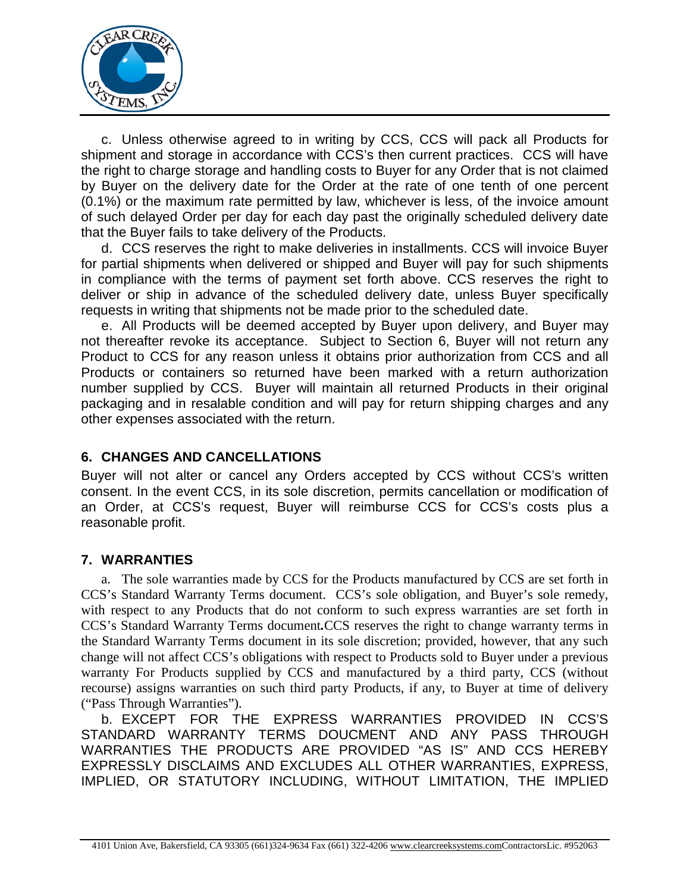

c. Unless otherwise agreed to in writing by CCS, CCS will pack all Products for shipment and storage in accordance with CCS's then current practices. CCS will have the right to charge storage and handling costs to Buyer for any Order that is not claimed by Buyer on the delivery date for the Order at the rate of one tenth of one percent (0.1%) or the maximum rate permitted by law, whichever is less, of the invoice amount of such delayed Order per day for each day past the originally scheduled delivery date that the Buyer fails to take delivery of the Products.

d. CCS reserves the right to make deliveries in installments. CCS will invoice Buyer for partial shipments when delivered or shipped and Buyer will pay for such shipments in compliance with the terms of payment set forth above. CCS reserves the right to deliver or ship in advance of the scheduled delivery date, unless Buyer specifically requests in writing that shipments not be made prior to the scheduled date.

e. All Products will be deemed accepted by Buyer upon delivery, and Buyer may not thereafter revoke its acceptance. Subject to Section 6, Buyer will not return any Product to CCS for any reason unless it obtains prior authorization from CCS and all Products or containers so returned have been marked with a return authorization number supplied by CCS. Buyer will maintain all returned Products in their original packaging and in resalable condition and will pay for return shipping charges and any other expenses associated with the return.

# **6. CHANGES AND CANCELLATIONS**

Buyer will not alter or cancel any Orders accepted by CCS without CCS's written consent. In the event CCS, in its sole discretion, permits cancellation or modification of an Order, at CCS's request, Buyer will reimburse CCS for CCS's costs plus a reasonable profit.

# **7. WARRANTIES**

a. The sole warranties made by CCS for the Products manufactured by CCS are set forth in CCS's Standard Warranty Terms document. CCS's sole obligation, and Buyer's sole remedy, with respect to any Products that do not conform to such express warranties are set forth in CCS's Standard Warranty Terms document*.*CCS reserves the right to change warranty terms in the Standard Warranty Terms document in its sole discretion; provided, however, that any such change will not affect CCS's obligations with respect to Products sold to Buyer under a previous warranty For Products supplied by CCS and manufactured by a third party, CCS (without recourse) assigns warranties on such third party Products, if any, to Buyer at time of delivery ("Pass Through Warranties").

b. EXCEPT FOR THE EXPRESS WARRANTIES PROVIDED IN CCS'S STANDARD WARRANTY TERMS DOUCMENT AND ANY PASS THROUGH WARRANTIES THE PRODUCTS ARE PROVIDED "AS IS" AND CCS HEREBY EXPRESSLY DISCLAIMS AND EXCLUDES ALL OTHER WARRANTIES, EXPRESS, IMPLIED, OR STATUTORY INCLUDING, WITHOUT LIMITATION, THE IMPLIED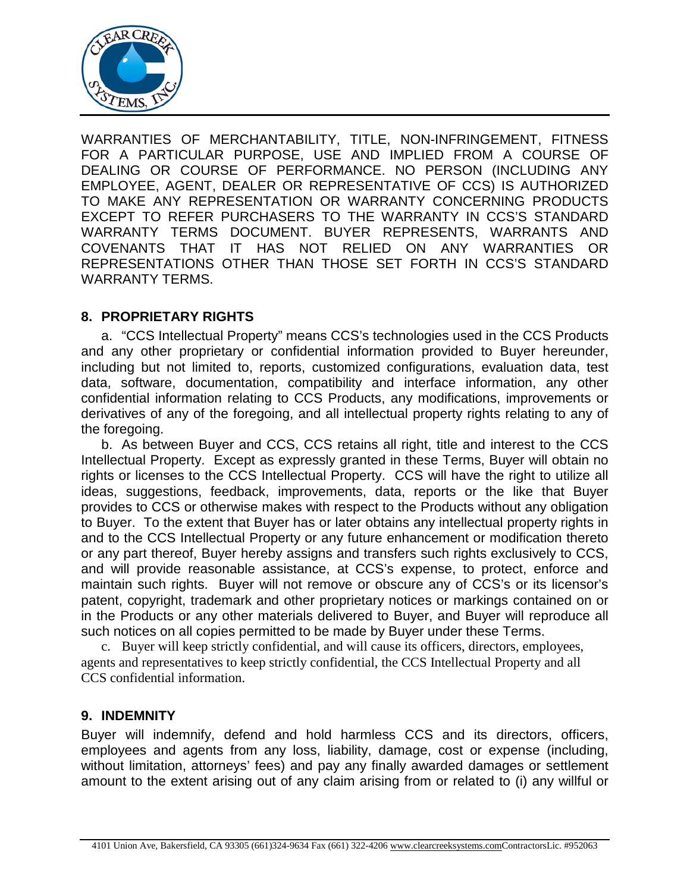

WARRANTIES OF MERCHANTABILITY, TITLE, NON-INFRINGEMENT, FITNESS FOR A PARTICULAR PURPOSE, USE AND IMPLIED FROM A COURSE OF DEALING OR COURSE OF PERFORMANCE. NO PERSON (INCLUDING ANY EMPLOYEE, AGENT, DEALER OR REPRESENTATIVE OF CCS) IS AUTHORIZED TO MAKE ANY REPRESENTATION OR WARRANTY CONCERNING PRODUCTS EXCEPT TO REFER PURCHASERS TO THE WARRANTY IN CCS'S STANDARD WARRANTY TERMS DOCUMENT. BUYER REPRESENTS, WARRANTS AND COVENANTS THAT IT HAS NOT RELIED ON ANY WARRANTIES OR REPRESENTATIONS OTHER THAN THOSE SET FORTH IN CCS'S STANDARD WARRANTY TERMS.

#### **8. PROPRIETARY RIGHTS**

a. "CCS Intellectual Property" means CCS's technologies used in the CCS Products and any other proprietary or confidential information provided to Buyer hereunder, including but not limited to, reports, customized configurations, evaluation data, test data, software, documentation, compatibility and interface information, any other confidential information relating to CCS Products, any modifications, improvements or derivatives of any of the foregoing, and all intellectual property rights relating to any of the foregoing.

b. As between Buyer and CCS, CCS retains all right, title and interest to the CCS Intellectual Property. Except as expressly granted in these Terms, Buyer will obtain no rights or licenses to the CCS Intellectual Property. CCS will have the right to utilize all ideas, suggestions, feedback, improvements, data, reports or the like that Buyer provides to CCS or otherwise makes with respect to the Products without any obligation to Buyer. To the extent that Buyer has or later obtains any intellectual property rights in and to the CCS Intellectual Property or any future enhancement or modification thereto or any part thereof, Buyer hereby assigns and transfers such rights exclusively to CCS, and will provide reasonable assistance, at CCS's expense, to protect, enforce and maintain such rights. Buyer will not remove or obscure any of CCS's or its licensor's patent, copyright, trademark and other proprietary notices or markings contained on or in the Products or any other materials delivered to Buyer, and Buyer will reproduce all such notices on all copies permitted to be made by Buyer under these Terms.

c. Buyer will keep strictly confidential, and will cause its officers, directors, employees, agents and representatives to keep strictly confidential, the CCS Intellectual Property and all CCS confidential information.

#### **9. INDEMNITY**

Buyer will indemnify, defend and hold harmless CCS and its directors, officers, employees and agents from any loss, liability, damage, cost or expense (including, without limitation, attorneys' fees) and pay any finally awarded damages or settlement amount to the extent arising out of any claim arising from or related to (i) any willful or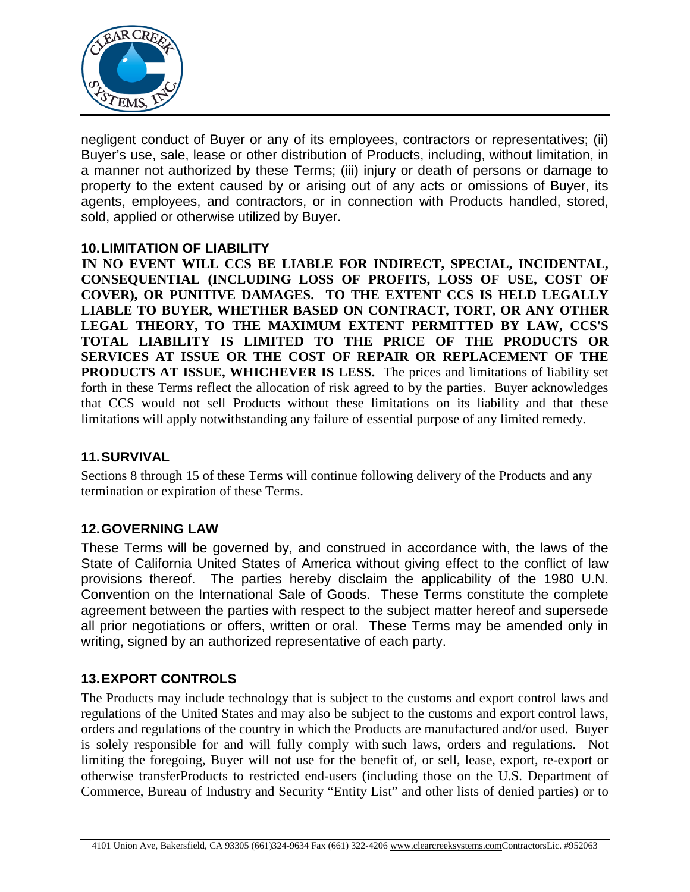

negligent conduct of Buyer or any of its employees, contractors or representatives; (ii) Buyer's use, sale, lease or other distribution of Products, including, without limitation, in a manner not authorized by these Terms; (iii) injury or death of persons or damage to property to the extent caused by or arising out of any acts or omissions of Buyer, its agents, employees, and contractors, or in connection with Products handled, stored, sold, applied or otherwise utilized by Buyer.

### **10.LIMITATION OF LIABILITY**

**IN NO EVENT WILL CCS BE LIABLE FOR INDIRECT, SPECIAL, INCIDENTAL, CONSEQUENTIAL (INCLUDING LOSS OF PROFITS, LOSS OF USE, COST OF COVER), OR PUNITIVE DAMAGES. TO THE EXTENT CCS IS HELD LEGALLY LIABLE TO BUYER, WHETHER BASED ON CONTRACT, TORT, OR ANY OTHER LEGAL THEORY, TO THE MAXIMUM EXTENT PERMITTED BY LAW, CCS'S TOTAL LIABILITY IS LIMITED TO THE PRICE OF THE PRODUCTS OR SERVICES AT ISSUE OR THE COST OF REPAIR OR REPLACEMENT OF THE PRODUCTS AT ISSUE, WHICHEVER IS LESS.** The prices and limitations of liability set forth in these Terms reflect the allocation of risk agreed to by the parties. Buyer acknowledges that CCS would not sell Products without these limitations on its liability and that these limitations will apply notwithstanding any failure of essential purpose of any limited remedy.

#### **11.SURVIVAL**

Sections 8 through 15 of these Terms will continue following delivery of the Products and any termination or expiration of these Terms.

# **12.GOVERNING LAW**

These Terms will be governed by, and construed in accordance with, the laws of the State of California United States of America without giving effect to the conflict of law provisions thereof. The parties hereby disclaim the applicability of the 1980 U.N. Convention on the International Sale of Goods. These Terms constitute the complete agreement between the parties with respect to the subject matter hereof and supersede all prior negotiations or offers, written or oral. These Terms may be amended only in writing, signed by an authorized representative of each party.

#### **13.EXPORT CONTROLS**

The Products may include technology that is subject to the customs and export control laws and regulations of the United States and may also be subject to the customs and export control laws, orders and regulations of the country in which the Products are manufactured and/or used. Buyer is solely responsible for and will fully comply with such laws, orders and regulations. Not limiting the foregoing, Buyer will not use for the benefit of, or sell, lease, export, re-export or otherwise transferProducts to restricted end-users (including those on the U.S. Department of Commerce, Bureau of Industry and Security "Entity List" and other lists of denied parties) or to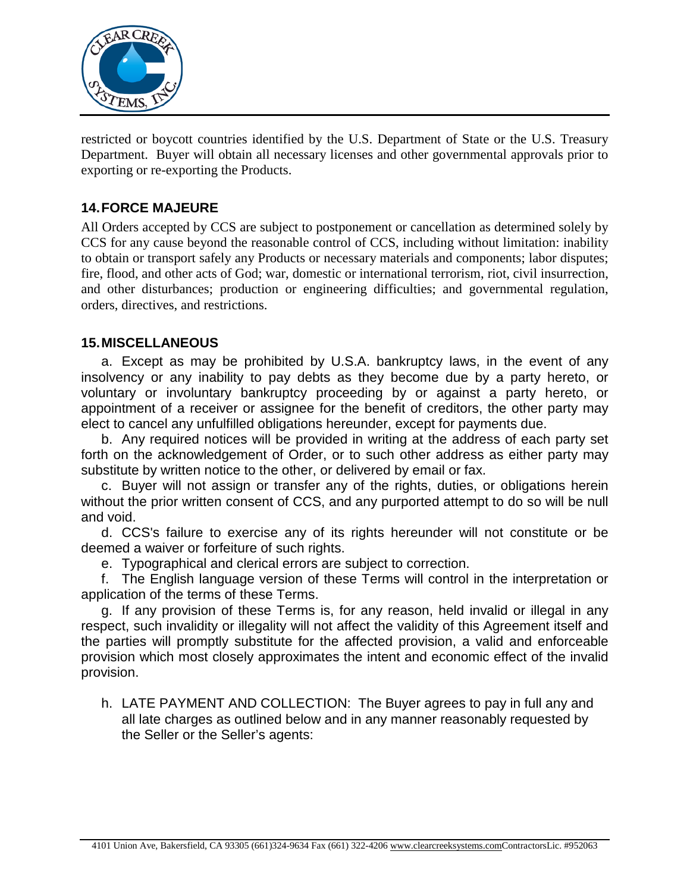

restricted or boycott countries identified by the U.S. Department of State or the U.S. Treasury Department. Buyer will obtain all necessary licenses and other governmental approvals prior to exporting or re-exporting the Products.

### **14.FORCE MAJEURE**

All Orders accepted by CCS are subject to postponement or cancellation as determined solely by CCS for any cause beyond the reasonable control of CCS, including without limitation: inability to obtain or transport safely any Products or necessary materials and components; labor disputes; fire, flood, and other acts of God; war, domestic or international terrorism, riot, civil insurrection, and other disturbances; production or engineering difficulties; and governmental regulation, orders, directives, and restrictions.

#### **15.MISCELLANEOUS**

a. Except as may be prohibited by U.S.A. bankruptcy laws, in the event of any insolvency or any inability to pay debts as they become due by a party hereto, or voluntary or involuntary bankruptcy proceeding by or against a party hereto, or appointment of a receiver or assignee for the benefit of creditors, the other party may elect to cancel any unfulfilled obligations hereunder, except for payments due.

b. Any required notices will be provided in writing at the address of each party set forth on the acknowledgement of Order, or to such other address as either party may substitute by written notice to the other, or delivered by email or fax.

c. Buyer will not assign or transfer any of the rights, duties, or obligations herein without the prior written consent of CCS, and any purported attempt to do so will be null and void.

d. CCS's failure to exercise any of its rights hereunder will not constitute or be deemed a waiver or forfeiture of such rights.

e. Typographical and clerical errors are subject to correction.

f. The English language version of these Terms will control in the interpretation or application of the terms of these Terms.

g. If any provision of these Terms is, for any reason, held invalid or illegal in any respect, such invalidity or illegality will not affect the validity of this Agreement itself and the parties will promptly substitute for the affected provision, a valid and enforceable provision which most closely approximates the intent and economic effect of the invalid provision.

h. LATE PAYMENT AND COLLECTION: The Buyer agrees to pay in full any and all late charges as outlined below and in any manner reasonably requested by the Seller or the Seller's agents: